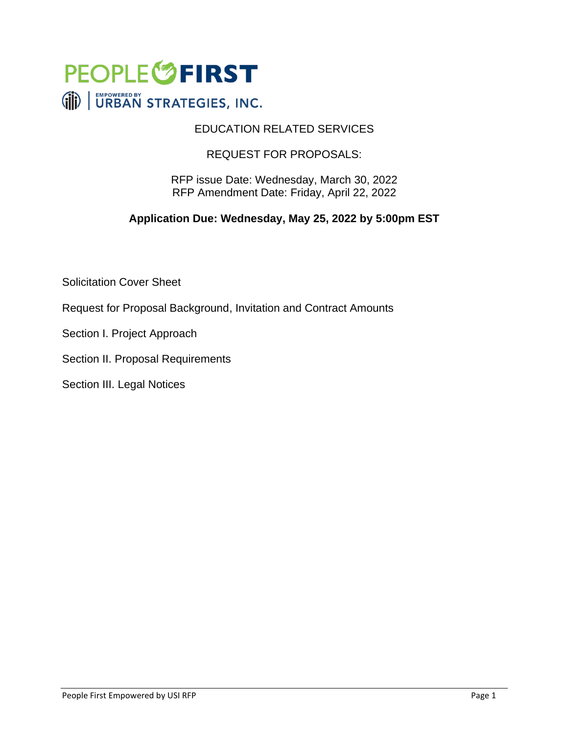

#### EDUCATION RELATED SERVICES

#### REQUEST FOR PROPOSALS:

RFP issue Date: Wednesday, March 30, 2022 RFP Amendment Date: Friday, April 22, 2022

#### **Application Due: Wednesday, May 25, 2022 by 5:00pm EST**

Solicitation Cover Sheet

Request for Proposal Background, Invitation and Contract Amounts

Section I. Project Approach

Section II. Proposal Requirements

Section III. Legal Notices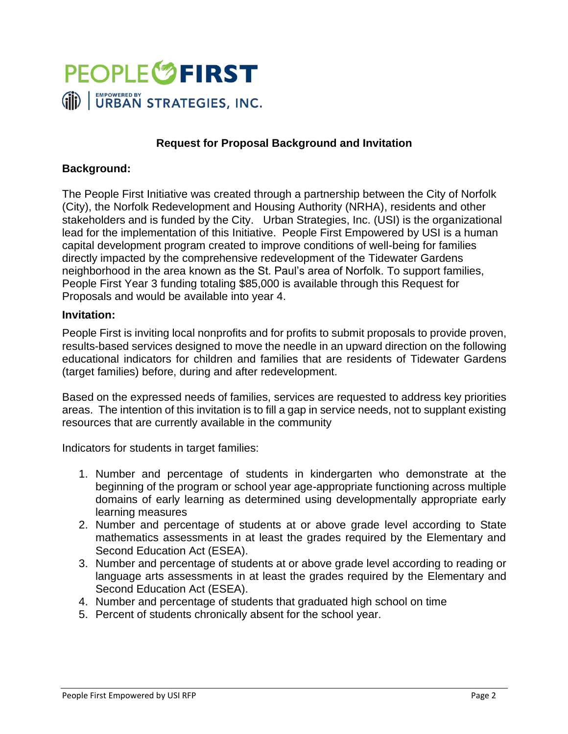

#### **Request for Proposal Background and Invitation**

#### **Background:**

The People First Initiative was created through a partnership between the City of Norfolk (City), the Norfolk Redevelopment and Housing Authority (NRHA), residents and other stakeholders and is funded by the City. Urban Strategies, Inc. (USI) is the organizational lead for the implementation of this Initiative. People First Empowered by USI is a human capital development program created to improve conditions of well-being for families directly impacted by the comprehensive redevelopment of the Tidewater Gardens neighborhood in the area known as the St. Paul's area of Norfolk. To support families, People First Year 3 funding totaling \$85,000 is available through this Request for Proposals and would be available into year 4.

#### **Invitation:**

People First is inviting local nonprofits and for profits to submit proposals to provide proven, results-based services designed to move the needle in an upward direction on the following educational indicators for children and families that are residents of Tidewater Gardens (target families) before, during and after redevelopment.

Based on the expressed needs of families, services are requested to address key priorities areas. The intention of this invitation is to fill a gap in service needs, not to supplant existing resources that are currently available in the community

Indicators for students in target families:

- 1. Number and percentage of students in kindergarten who demonstrate at the beginning of the program or school year age-appropriate functioning across multiple domains of early learning as determined using developmentally appropriate early learning measures
- 2. Number and percentage of students at or above grade level according to State mathematics assessments in at least the grades required by the Elementary and Second Education Act (ESEA).
- 3. Number and percentage of students at or above grade level according to reading or language arts assessments in at least the grades required by the Elementary and Second Education Act (ESEA).
- 4. Number and percentage of students that graduated high school on time
- 5. Percent of students chronically absent for the school year.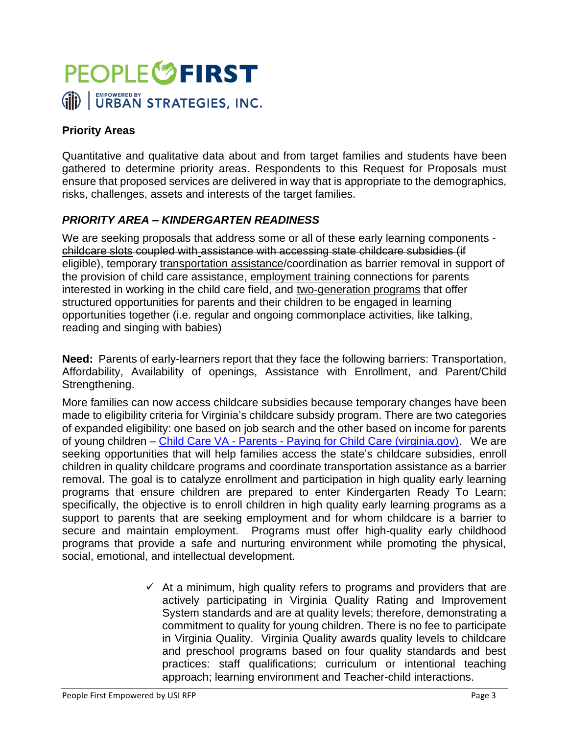

### **Priority Areas**

Quantitative and qualitative data about and from target families and students have been gathered to determine priority areas. Respondents to this Request for Proposals must ensure that proposed services are delivered in way that is appropriate to the demographics, risks, challenges, assets and interests of the target families.

#### *PRIORITY AREA – KINDERGARTEN READINESS*

We are seeking proposals that address some or all of these early learning components childcare slots coupled with assistance with accessing state childcare subsidies (if eligible), temporary transportation assistance/coordination as barrier removal in support of the provision of child care assistance, employment training connections for parents interested in working in the child care field, and two-generation programs that offer structured opportunities for parents and their children to be engaged in learning opportunities together (i.e. regular and ongoing commonplace activities, like talking, reading and singing with babies)

**Need:** Parents of early-learners report that they face the following barriers: Transportation, Affordability, Availability of openings, Assistance with Enrollment, and Parent/Child Strengthening.

More families can now access childcare subsidies because temporary changes have been made to eligibility criteria for Virginia's childcare subsidy program. There are two categories of expanded eligibility: one based on job search and the other based on income for parents of young children – Child Care VA - Parents - [Paying for Child Care \(virginia.gov\).](https://nam12.safelinks.protection.outlook.com/?url=https%3A%2F%2Fwww.doe.virginia.gov%2Fcc%2Fparents%2Findex.html%3FpageID%3D4&data=04%7C01%7CTyronda.Minter%40urbanstrategiesinc.org%7C0e4bdfdac03a461d6a6608da05de8a17%7C6da2832e50ec45778e4645c67ea4c402%7C0%7C0%7C637828750764628787%7CUnknown%7CTWFpbGZsb3d8eyJWIjoiMC4wLjAwMDAiLCJQIjoiV2luMzIiLCJBTiI6Ik1haWwiLCJXVCI6Mn0%3D%7C3000&sdata=w65n3TPB8omglx7EEJOh5bFkeOqY1%2FyMJy%2FhX0%2FNhfE%3D&reserved=0) We are seeking opportunities that will help families access the state's childcare subsidies, enroll children in quality childcare programs and coordinate transportation assistance as a barrier removal. The goal is to catalyze enrollment and participation in high quality early learning programs that ensure children are prepared to enter Kindergarten Ready To Learn; specifically, the objective is to enroll children in high quality early learning programs as a support to parents that are seeking employment and for whom childcare is a barrier to secure and maintain employment. Programs must offer high-quality early childhood programs that provide a safe and nurturing environment while promoting the physical, social, emotional, and intellectual development.

> $\checkmark$  At a minimum, high quality refers to programs and providers that are actively participating in Virginia Quality Rating and Improvement System standards and are at quality levels; therefore, demonstrating a commitment to quality for young children. There is no fee to participate in Virginia Quality. Virginia Quality awards quality levels to childcare and preschool programs based on four quality standards and best practices: staff qualifications; curriculum or intentional teaching approach; learning environment and Teacher-child interactions.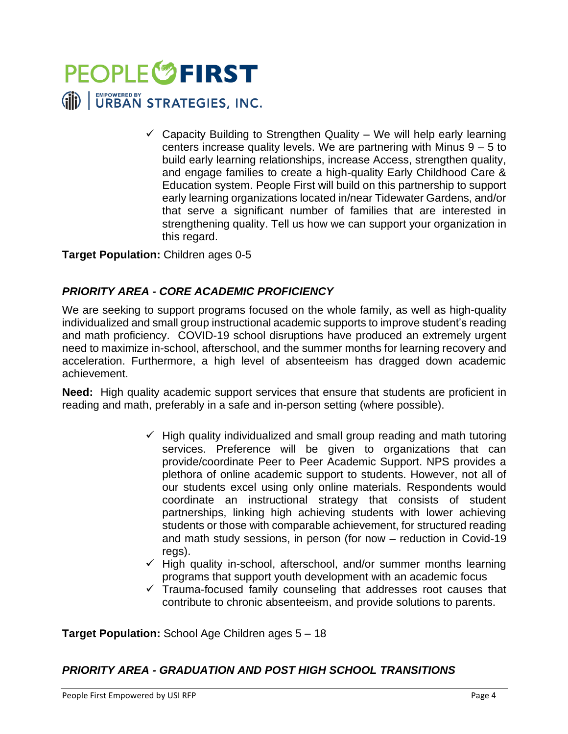

 $\checkmark$  Capacity Building to Strengthen Quality – We will help early learning centers increase quality levels. We are partnering with Minus  $9 - 5$  to build early learning relationships, increase Access, strengthen quality, and engage families to create a high-quality Early Childhood Care & Education system. People First will build on this partnership to support early learning organizations located in/near Tidewater Gardens, and/or that serve a significant number of families that are interested in strengthening quality. Tell us how we can support your organization in this regard.

#### **Target Population:** Children ages 0-5

#### *PRIORITY AREA - CORE ACADEMIC PROFICIENCY*

We are seeking to support programs focused on the whole family, as well as high-quality individualized and small group instructional academic supports to improve student's reading and math proficiency. COVID-19 school disruptions have produced an extremely urgent need to maximize in-school, afterschool, and the summer months for learning recovery and acceleration. Furthermore, a high level of absenteeism has dragged down academic achievement.

**Need:** High quality academic support services that ensure that students are proficient in reading and math, preferably in a safe and in-person setting (where possible).

- $\checkmark$  High quality individualized and small group reading and math tutoring services. Preference will be given to organizations that can provide/coordinate Peer to Peer Academic Support. NPS provides a plethora of online academic support to students. However, not all of our students excel using only online materials. Respondents would coordinate an instructional strategy that consists of student partnerships, linking high achieving students with lower achieving students or those with comparable achievement, for structured reading and math study sessions, in person (for now – reduction in Covid-19 regs).
- $\checkmark$  High quality in-school, afterschool, and/or summer months learning programs that support youth development with an academic focus
- $\checkmark$  Trauma-focused family counseling that addresses root causes that contribute to chronic absenteeism, and provide solutions to parents.

**Target Population:** School Age Children ages 5 – 18

#### *PRIORITY AREA - GRADUATION AND POST HIGH SCHOOL TRANSITIONS*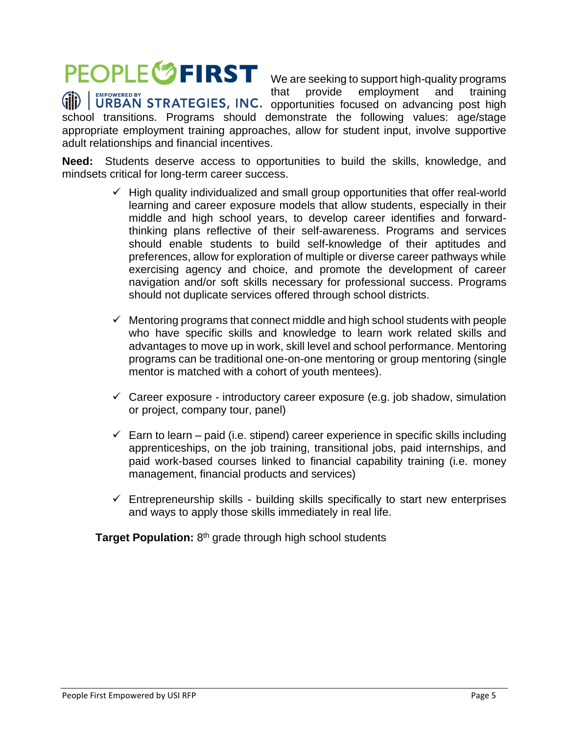### **PEOPLE<sup>S</sup>FIRST**

that provide employment and training opportunities focused on advancing post high school transitions. Programs should demonstrate the following values: age/stage appropriate employment training approaches, allow for student input, involve supportive adult relationships and financial incentives.

We are seeking to support high-quality programs

**Need:** Students deserve access to opportunities to build the skills, knowledge, and mindsets critical for long-term career success.

- $\checkmark$  High quality individualized and small group opportunities that offer real-world learning and career exposure models that allow students, especially in their middle and high school years, to develop career identifies and forwardthinking plans reflective of their self-awareness. Programs and services should enable students to build self-knowledge of their aptitudes and preferences, allow for exploration of multiple or diverse career pathways while exercising agency and choice, and promote the development of career navigation and/or soft skills necessary for professional success. Programs should not duplicate services offered through school districts.
- $\checkmark$  Mentoring programs that connect middle and high school students with people who have specific skills and knowledge to learn work related skills and advantages to move up in work, skill level and school performance. Mentoring programs can be traditional one-on-one mentoring or group mentoring (single mentor is matched with a cohort of youth mentees).
- $\checkmark$  Career exposure introductory career exposure (e.g. job shadow, simulation or project, company tour, panel)
- $\checkmark$  Earn to learn paid (i.e. stipend) career experience in specific skills including apprenticeships, on the job training, transitional jobs, paid internships, and paid work-based courses linked to financial capability training (i.e. money management, financial products and services)
- $\checkmark$  Entrepreneurship skills building skills specifically to start new enterprises and ways to apply those skills immediately in real life.

Target Population: 8<sup>th</sup> grade through high school students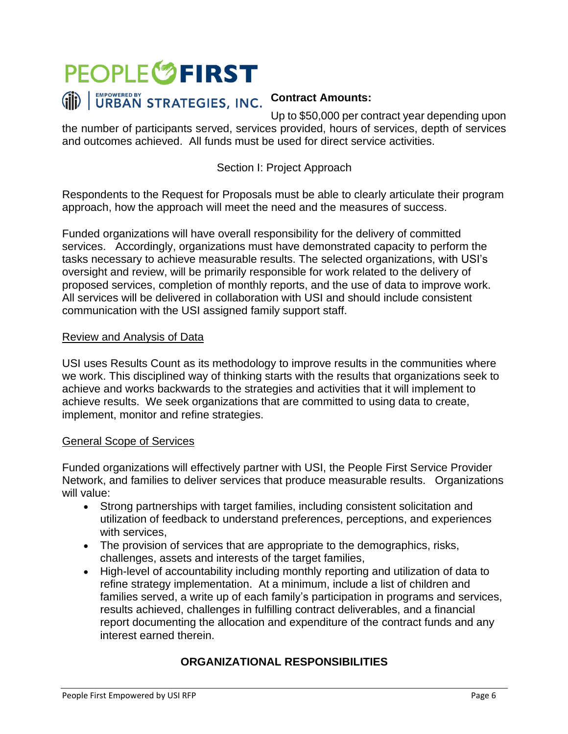

Up to \$50,000 per contract year depending upon the number of participants served, services provided, hours of services, depth of services and outcomes achieved. All funds must be used for direct service activities.

#### Section I: Project Approach

Respondents to the Request for Proposals must be able to clearly articulate their program approach, how the approach will meet the need and the measures of success.

Funded organizations will have overall responsibility for the delivery of committed services. Accordingly, organizations must have demonstrated capacity to perform the tasks necessary to achieve measurable results. The selected organizations, with USI's oversight and review, will be primarily responsible for work related to the delivery of proposed services, completion of monthly reports, and the use of data to improve work. All services will be delivered in collaboration with USI and should include consistent communication with the USI assigned family support staff.

#### Review and Analysis of Data

USI uses Results Count as its methodology to improve results in the communities where we work. This disciplined way of thinking starts with the results that organizations seek to achieve and works backwards to the strategies and activities that it will implement to achieve results. We seek organizations that are committed to using data to create, implement, monitor and refine strategies.

#### General Scope of Services

Funded organizations will effectively partner with USI, the People First Service Provider Network, and families to deliver services that produce measurable results. Organizations will value:

- Strong partnerships with target families, including consistent solicitation and utilization of feedback to understand preferences, perceptions, and experiences with services,
- The provision of services that are appropriate to the demographics, risks, challenges, assets and interests of the target families,
- High-level of accountability including monthly reporting and utilization of data to refine strategy implementation. At a minimum, include a list of children and families served, a write up of each family's participation in programs and services, results achieved, challenges in fulfilling contract deliverables, and a financial report documenting the allocation and expenditure of the contract funds and any interest earned therein.

#### **ORGANIZATIONAL RESPONSIBILITIES**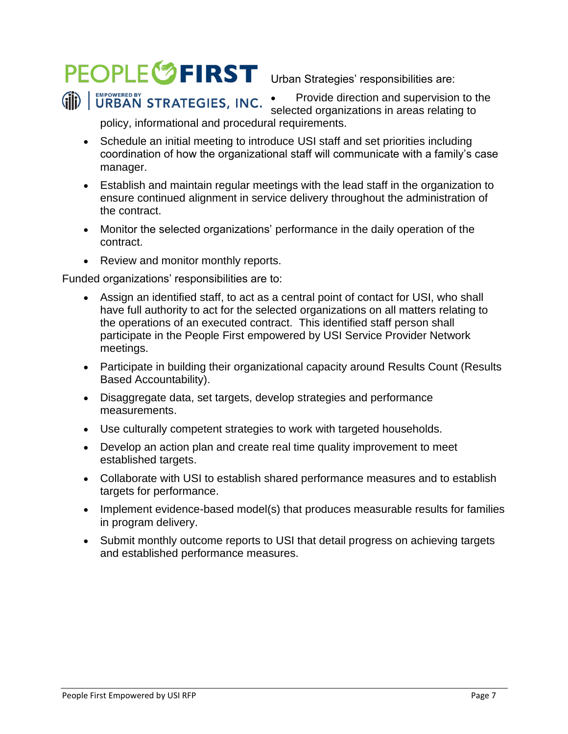### PEOPLE<sup>6</sup> FIRST Urban Strategies' responsibilities are: URBAN STRATEGIES, INC.

• Provide direction and supervision to the selected organizations in areas relating to

policy, informational and procedural requirements.

- Schedule an initial meeting to introduce USI staff and set priorities including coordination of how the organizational staff will communicate with a family's case manager.
- Establish and maintain regular meetings with the lead staff in the organization to ensure continued alignment in service delivery throughout the administration of the contract.
- Monitor the selected organizations' performance in the daily operation of the contract.
- Review and monitor monthly reports.

Funded organizations' responsibilities are to:

- Assign an identified staff, to act as a central point of contact for USI, who shall have full authority to act for the selected organizations on all matters relating to the operations of an executed contract. This identified staff person shall participate in the People First empowered by USI Service Provider Network meetings.
- Participate in building their organizational capacity around Results Count (Results Based Accountability).
- Disaggregate data, set targets, develop strategies and performance measurements.
- Use culturally competent strategies to work with targeted households.
- Develop an action plan and create real time quality improvement to meet established targets.
- Collaborate with USI to establish shared performance measures and to establish targets for performance.
- Implement evidence-based model(s) that produces measurable results for families in program delivery.
- Submit monthly outcome reports to USI that detail progress on achieving targets and established performance measures.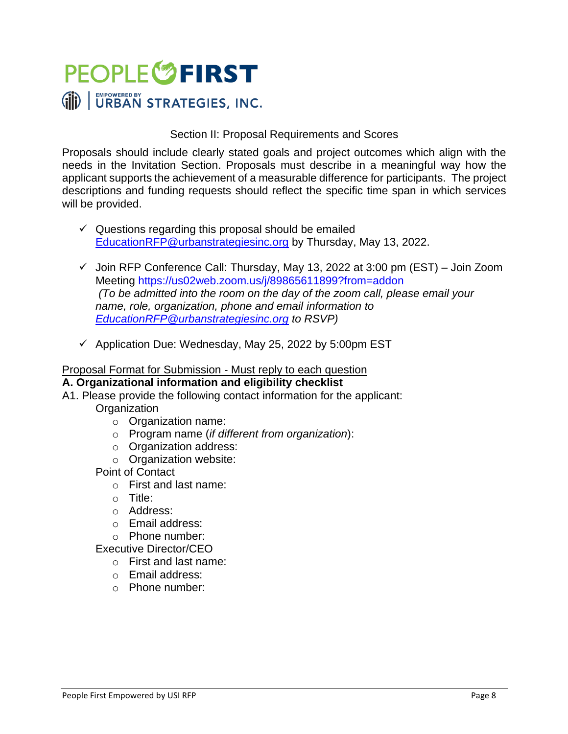

#### Section II: Proposal Requirements and Scores

Proposals should include clearly stated goals and project outcomes which align with the needs in the Invitation Section. Proposals must describe in a meaningful way how the applicant supports the achievement of a measurable difference for participants. The project descriptions and funding requests should reflect the specific time span in which services will be provided.

- $\checkmark$  Questions regarding this proposal should be emailed [EducationRFP@urbanstrategiesinc.org](mailto:EducationRFP@urbanstrategiesinc.org) by Thursday, May 13, 2022.
- $\checkmark$  Join RFP Conference Call: Thursday, May 13, 2022 at 3:00 pm (EST) Join Zoom Meeting <https://us02web.zoom.us/j/89865611899?from=addon> *(To be admitted into the room on the day of the zoom call, please email your name, role, organization, phone and email information to [EducationRFP@urbanstrategiesinc.org](mailto:EducationRFP@urbanstrategiesinc.org) to RSVP)*
- $\checkmark$  Application Due: Wednesday, May 25, 2022 by 5:00pm EST

#### Proposal Format for Submission - Must reply to each question

#### **A. Organizational information and eligibility checklist**

- A1. Please provide the following contact information for the applicant:
	- **Organization** 
		- o Organization name:
		- o Program name (*if different from organization*):
		- o Organization address:
		- o Organization website:

#### Point of Contact

- o First and last name:
- o Title:
- o Address:
- o Email address:
- o Phone number:
- Executive Director/CEO
	- o First and last name:
	- o Email address:
	- o Phone number: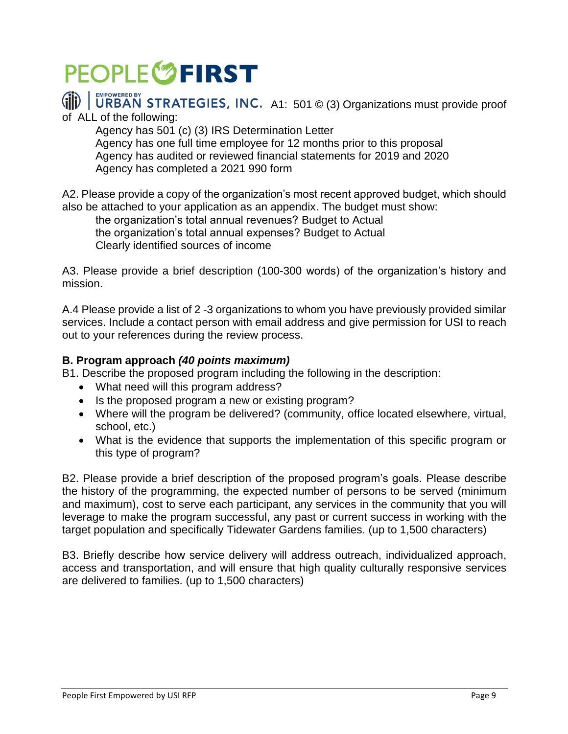## **PEOPLE<sup>S</sup>FIRST**

### A1: 501 © (3) Organizations must provide proof

of ALL of the following:

Agency has 501 (c) (3) IRS Determination Letter Agency has one full time employee for 12 months prior to this proposal Agency has audited or reviewed financial statements for 2019 and 2020 Agency has completed a 2021 990 form

A2. Please provide a copy of the organization's most recent approved budget, which should also be attached to your application as an appendix. The budget must show:

the organization's total annual revenues? Budget to Actual the organization's total annual expenses? Budget to Actual Clearly identified sources of income

A3. Please provide a brief description (100-300 words) of the organization's history and mission.

A.4 Please provide a list of 2 -3 organizations to whom you have previously provided similar services. Include a contact person with email address and give permission for USI to reach out to your references during the review process.

#### **B. Program approach** *(40 points maximum)*

B1. Describe the proposed program including the following in the description:

- What need will this program address?
- Is the proposed program a new or existing program?
- Where will the program be delivered? (community, office located elsewhere, virtual, school, etc.)
- What is the evidence that supports the implementation of this specific program or this type of program?

B2. Please provide a brief description of the proposed program's goals. Please describe the history of the programming, the expected number of persons to be served (minimum and maximum), cost to serve each participant, any services in the community that you will leverage to make the program successful, any past or current success in working with the target population and specifically Tidewater Gardens families. (up to 1,500 characters)

B3. Briefly describe how service delivery will address outreach, individualized approach, access and transportation, and will ensure that high quality culturally responsive services are delivered to families. (up to 1,500 characters)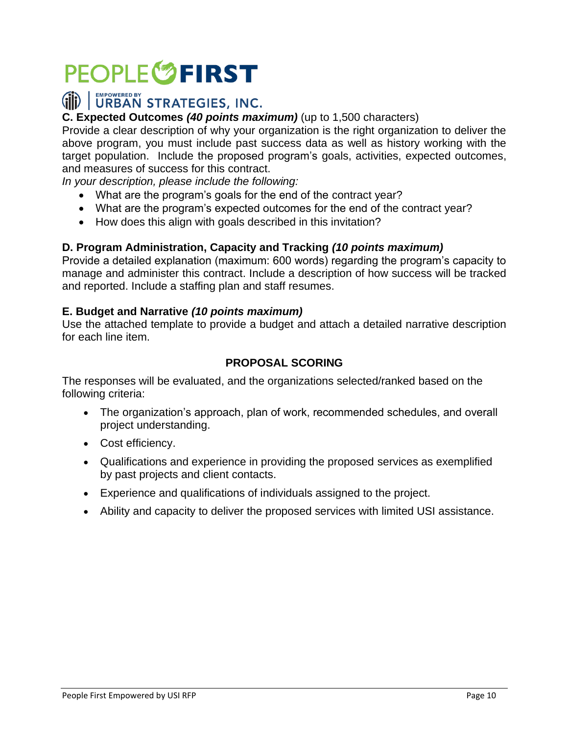# **PEOPLE<sup>S</sup>FIRST**

### (iii) | URBAN STRATEGIES, INC.

#### **C. Expected Outcomes** *(40 points maximum)* (up to 1,500 characters)

Provide a clear description of why your organization is the right organization to deliver the above program, you must include past success data as well as history working with the target population. Include the proposed program's goals, activities, expected outcomes, and measures of success for this contract.

*In your description, please include the following:* 

- What are the program's goals for the end of the contract year?
- What are the program's expected outcomes for the end of the contract year?
- How does this align with goals described in this invitation?

#### **D. Program Administration, Capacity and Tracking** *(10 points maximum)*

Provide a detailed explanation (maximum: 600 words) regarding the program's capacity to manage and administer this contract. Include a description of how success will be tracked and reported. Include a staffing plan and staff resumes.

#### **E. Budget and Narrative** *(10 points maximum)*

Use the attached template to provide a budget and attach a detailed narrative description for each line item.

#### **PROPOSAL SCORING**

The responses will be evaluated, and the organizations selected/ranked based on the following criteria:

- The organization's approach, plan of work, recommended schedules, and overall project understanding.
- Cost efficiency.
- Qualifications and experience in providing the proposed services as exemplified by past projects and client contacts.
- Experience and qualifications of individuals assigned to the project.
- Ability and capacity to deliver the proposed services with limited USI assistance.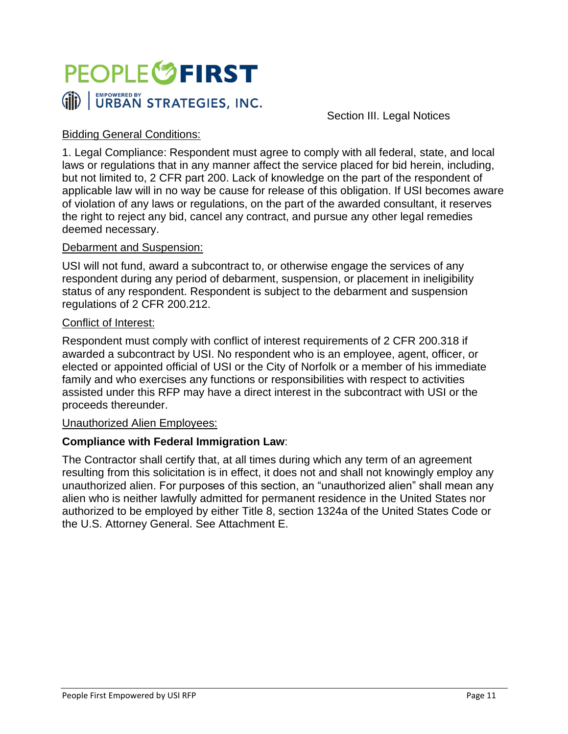

Section III. Legal Notices

#### Bidding General Conditions:

1. Legal Compliance: Respondent must agree to comply with all federal, state, and local laws or regulations that in any manner affect the service placed for bid herein, including, but not limited to, 2 CFR part 200. Lack of knowledge on the part of the respondent of applicable law will in no way be cause for release of this obligation. If USI becomes aware of violation of any laws or regulations, on the part of the awarded consultant, it reserves the right to reject any bid, cancel any contract, and pursue any other legal remedies deemed necessary.

#### Debarment and Suspension:

USI will not fund, award a subcontract to, or otherwise engage the services of any respondent during any period of debarment, suspension, or placement in ineligibility status of any respondent. Respondent is subject to the debarment and suspension regulations of 2 CFR 200.212.

#### Conflict of Interest:

Respondent must comply with conflict of interest requirements of 2 CFR 200.318 if awarded a subcontract by USI. No respondent who is an employee, agent, officer, or elected or appointed official of USI or the City of Norfolk or a member of his immediate family and who exercises any functions or responsibilities with respect to activities assisted under this RFP may have a direct interest in the subcontract with USI or the proceeds thereunder.

#### Unauthorized Alien Employees:

#### **Compliance with Federal Immigration Law**:

The Contractor shall certify that, at all times during which any term of an agreement resulting from this solicitation is in effect, it does not and shall not knowingly employ any unauthorized alien. For purposes of this section, an "unauthorized alien" shall mean any alien who is neither lawfully admitted for permanent residence in the United States nor authorized to be employed by either Title 8, section 1324a of the United States Code or the U.S. Attorney General. See Attachment E.